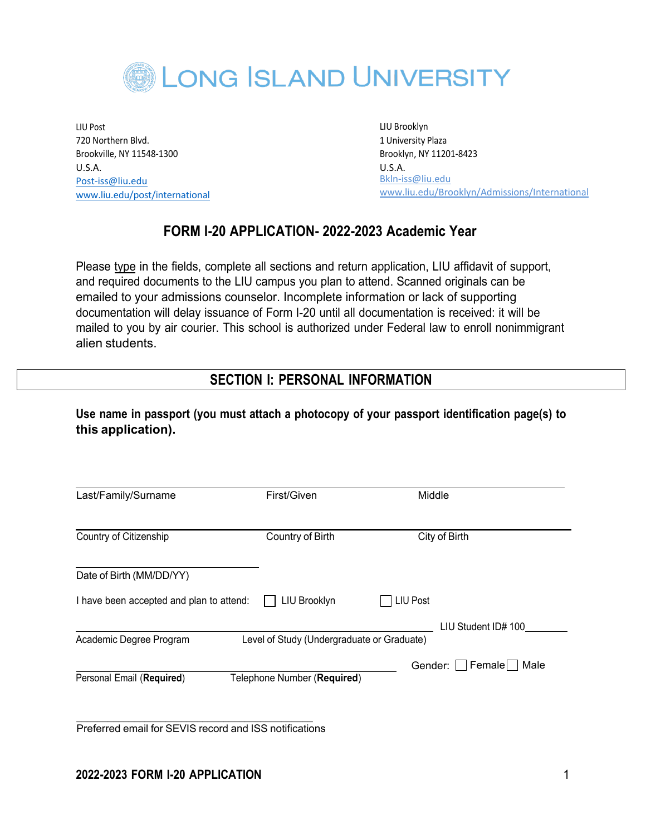

LIU Post 720 Northern Blvd. Brookville, NY 11548-1300 U.S.A. [Post-iss@liu.edu](mailto:Post-iss@liu.edu) [www.liu.edu/post/international](http://www.liu.edu/post/international) LIU Brooklyn 1 University Plaza Brooklyn, NY 11201-8423 U.S.A. [Bkln-iss@liu.edu](mailto:Bkln-iss@liu.edu) [www.liu.edu/Brooklyn/Admissions/International](http://www.liu.edu/Brooklyn/Admissions/International)

## **FORM I-20 APPLICATION- 2022-2023 Academic Year**

Please type in the fields, complete all sections and return application, LIU affidavit of support, and required documents to the LIU campus you plan to attend. Scanned originals can be emailed to your admissions counselor. Incomplete information or lack of supporting documentation will delay issuance of Form I-20 until all documentation is received: it will be mailed to you by air courier. This school is authorized under Federal law to enroll nonimmigrant alien students.

## **SECTION I: PERSONAL INFORMATION**

**Use name in passport (you must attach a photocopy of your passport identification page(s) to this application).**

| Last/Family/Surname                      | First/Given                                | Middle              |      |
|------------------------------------------|--------------------------------------------|---------------------|------|
| Country of Citizenship                   | Country of Birth                           | City of Birth       |      |
| Date of Birth (MM/DD/YY)                 |                                            |                     |      |
| I have been accepted and plan to attend: | LIU Brooklyn                               | LIU Post            |      |
|                                          |                                            | LIU Student ID# 100 |      |
| Academic Degree Program                  | Level of Study (Undergraduate or Graduate) |                     |      |
| Personal Email (Required)                | Telephone Number (Required)                | Gender:     Female  | Male |

\_\_\_\_\_\_\_\_\_\_\_\_\_\_\_\_\_\_\_\_\_\_\_\_\_\_\_\_\_\_\_\_\_\_\_\_\_\_\_\_\_\_\_\_\_ Preferred email for SEVIS record and ISS notifications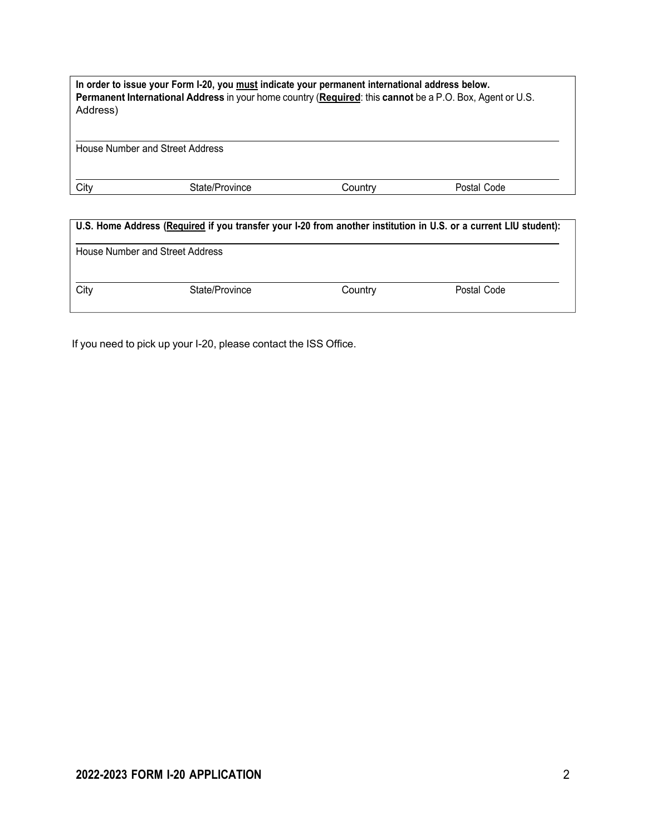| In order to issue your Form I-20, you must indicate your permanent international address below.<br>Permanent International Address in your home country (Required: this cannot be a P.O. Box, Agent or U.S.<br>Address) |                |         |             |  |
|-------------------------------------------------------------------------------------------------------------------------------------------------------------------------------------------------------------------------|----------------|---------|-------------|--|
| House Number and Street Address                                                                                                                                                                                         |                |         |             |  |
| City                                                                                                                                                                                                                    | State/Province | Country | Postal Code |  |

| U.S. Home Address (Required if you transfer your I-20 from another institution in U.S. or a current LIU student): |                                 |         |             |  |
|-------------------------------------------------------------------------------------------------------------------|---------------------------------|---------|-------------|--|
|                                                                                                                   | House Number and Street Address |         |             |  |
| City                                                                                                              | State/Province                  | Country | Postal Code |  |

If you need to pick up your I-20, please contact the ISS Office.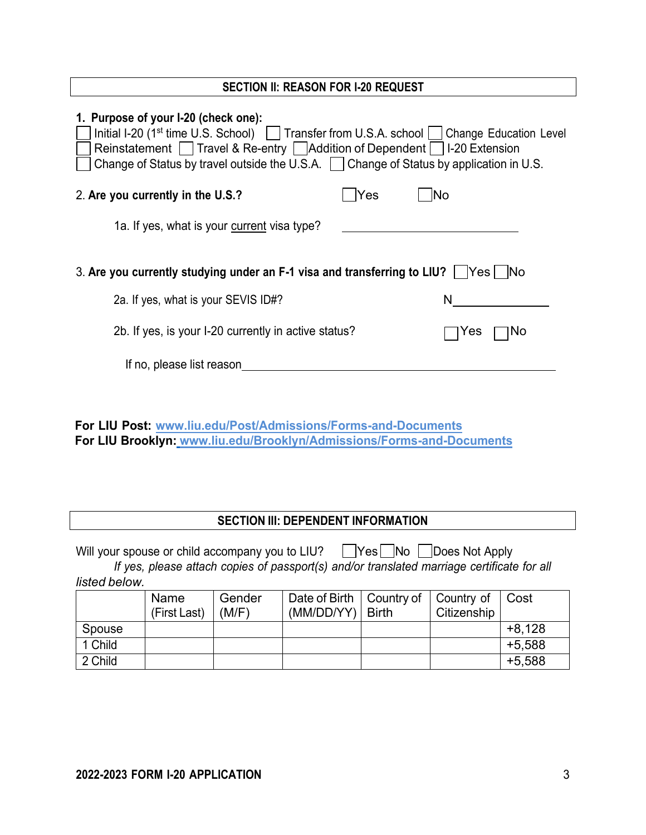#### **SECTION II: REASON FOR I-20 REQUEST**

| 1. Purpose of your I-20 (check one):<br>Initial I-20 (1 <sup>st</sup> time U.S. School)   Transfer from U.S.A. school   Change Education Level<br>Reinstatement $\Box$ Travel & Re-entry $\Box$ Addition of Dependent $\Box$ I-20 Extension<br>Change of Status by travel outside the U.S.A.   Change of Status by application in U.S. |     |           |
|----------------------------------------------------------------------------------------------------------------------------------------------------------------------------------------------------------------------------------------------------------------------------------------------------------------------------------------|-----|-----------|
| 2. Are you currently in the U.S.?                                                                                                                                                                                                                                                                                                      | Yes | No        |
| 1a. If yes, what is your current visa type?                                                                                                                                                                                                                                                                                            |     |           |
| 3. Are you currently studying under an F-1 visa and transferring to LIU? $\mid$ Yes $\mid$ No                                                                                                                                                                                                                                          |     |           |
| 2a. If yes, what is your SEVIS ID#?                                                                                                                                                                                                                                                                                                    |     | N         |
| 2b. If yes, is your I-20 currently in active status?                                                                                                                                                                                                                                                                                   |     | Yes<br>ΝO |
| If no, please list reason                                                                                                                                                                                                                                                                                                              |     |           |
|                                                                                                                                                                                                                                                                                                                                        |     |           |

| <b>For LIU Post: www.liu.edu/Post/Admissions/Forms-and-Documents</b>  |
|-----------------------------------------------------------------------|
| For LIU Brooklyn: www.liu.edu/Brooklyn/Admissions/Forms-and-Documents |

## **SECTION III: DEPENDENT INFORMATION**

Will your spouse or child accompany you to LIU?  $\Box$ Yes  $\Box$ No  $\Box$ Does Not Apply *If yes, please attach copies of passport(s) and/or translated marriage certificate for all*

*listed below.*

|         | Name<br>(First Last) | Gender<br>(M/F) | Date of Birth   Country of   Country of<br>$(MM/DD/YY)$   Birth | Citizenship | Cost     |
|---------|----------------------|-----------------|-----------------------------------------------------------------|-------------|----------|
| Spouse  |                      |                 |                                                                 |             | $+8,128$ |
| 1 Child |                      |                 |                                                                 |             | $+5,588$ |
| 2 Child |                      |                 |                                                                 |             | $+5,588$ |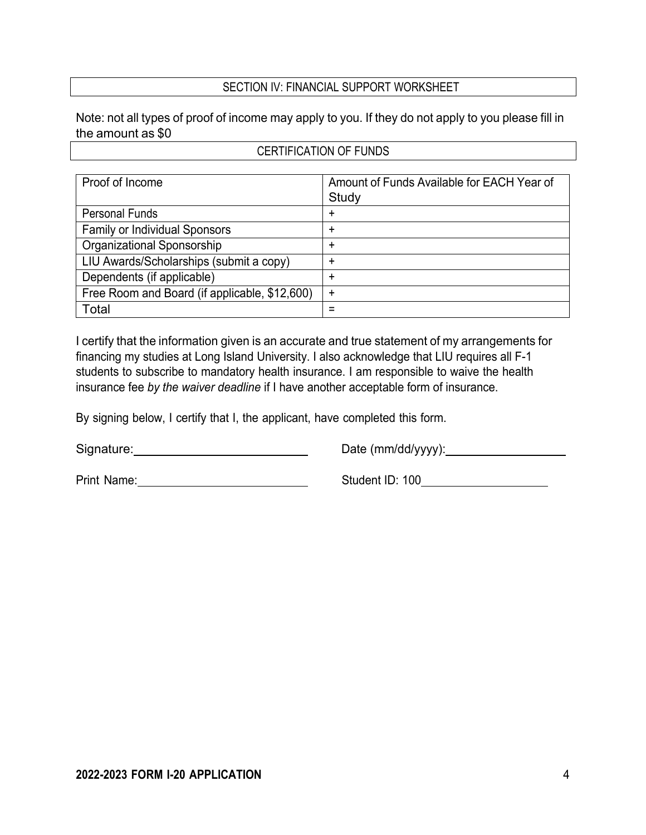### SECTION IV: FINANCIAL SUPPORT WORKSHEET

Note: not all types of proof of income may apply to you. If they do not apply to you please fill in the amount as \$0

### CERTIFICATION OF FUNDS

| Proof of Income                               | Amount of Funds Available for EACH Year of<br>Study |
|-----------------------------------------------|-----------------------------------------------------|
| <b>Personal Funds</b>                         | ÷                                                   |
| <b>Family or Individual Sponsors</b>          | ٠                                                   |
| Organizational Sponsorship                    | +                                                   |
| LIU Awards/Scholarships (submit a copy)       | +                                                   |
| Dependents (if applicable)                    | ٠                                                   |
| Free Room and Board (if applicable, \$12,600) | $\ddot{}$                                           |
| Total                                         |                                                     |

I certify that the information given is an accurate and true statement of my arrangements for financing my studies at Long Island University. I also acknowledge that LIU requires all F-1 students to subscribe to mandatory health insurance. I am responsible to waive the health insurance fee *by the waiver deadline* if I have another acceptable form of insurance.

By signing below, I certify that I, the applicant, have completed this form.

Signature: Signature:

Date (mm/dd/yyyy): 2000

Print Name:

Student ID: 100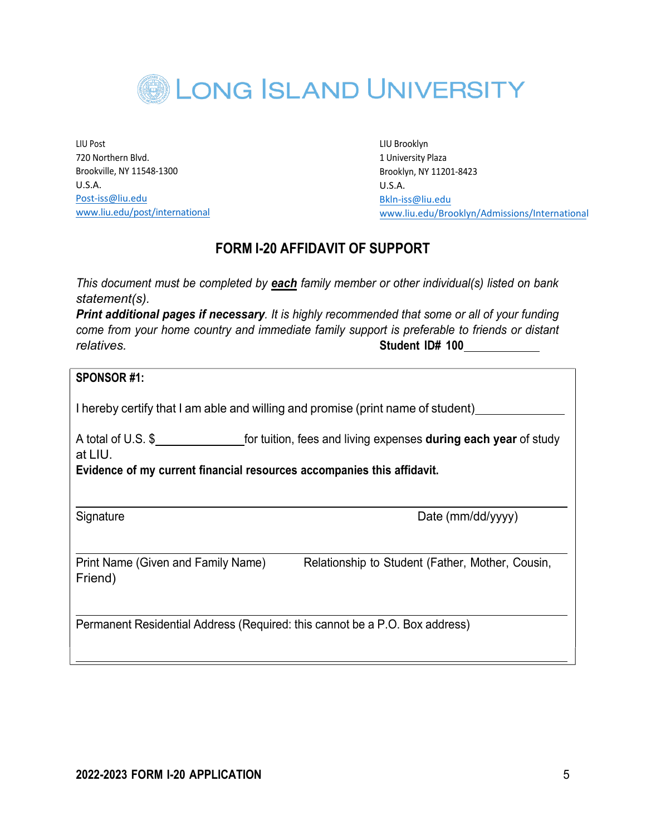

LIU Post 720 Northern Blvd. Brookville, NY 11548-1300 U.S.A. [Post-iss@liu.edu](mailto:Post-iss@liu.edu) [www.liu.edu/post/international](http://www.liu.edu/post/international) LIU Brooklyn 1 University Plaza Brooklyn, NY 11201-8423 U.S.A. [Bkln-is](mailto:Bkln-iss@liu.edu)[s@liu.edu](mailto:s@liu.edu) [www.liu.edu/Brooklyn/Admissions/International](http://www.liu.edu/Brooklyn/Admissions/International)

# **FORM I-20 AFFIDAVIT OF SUPPORT**

*This document must be completed by each family member or other individual(s) listed on bank statement(s).*

*Print additional pages if necessary. It is highly recommended that some or all of your funding come from your home country and immediate family support is preferable to friends or distant relatives.* **Student ID# 100**

#### **SPONSOR #1:**

I hereby certify that I am able and willing and promise (print name of student)

A total of U.S. \$ at LIU.

**Evidence of my current financial resources accompanies this affidavit.**

Signature Date (mm/dd/yyyy)

Print Name (Given and Family Name) Relationship to Student (Father, Mother, Cousin, Friend)

Permanent Residential Address (Required: this cannot be a P.O. Box address)